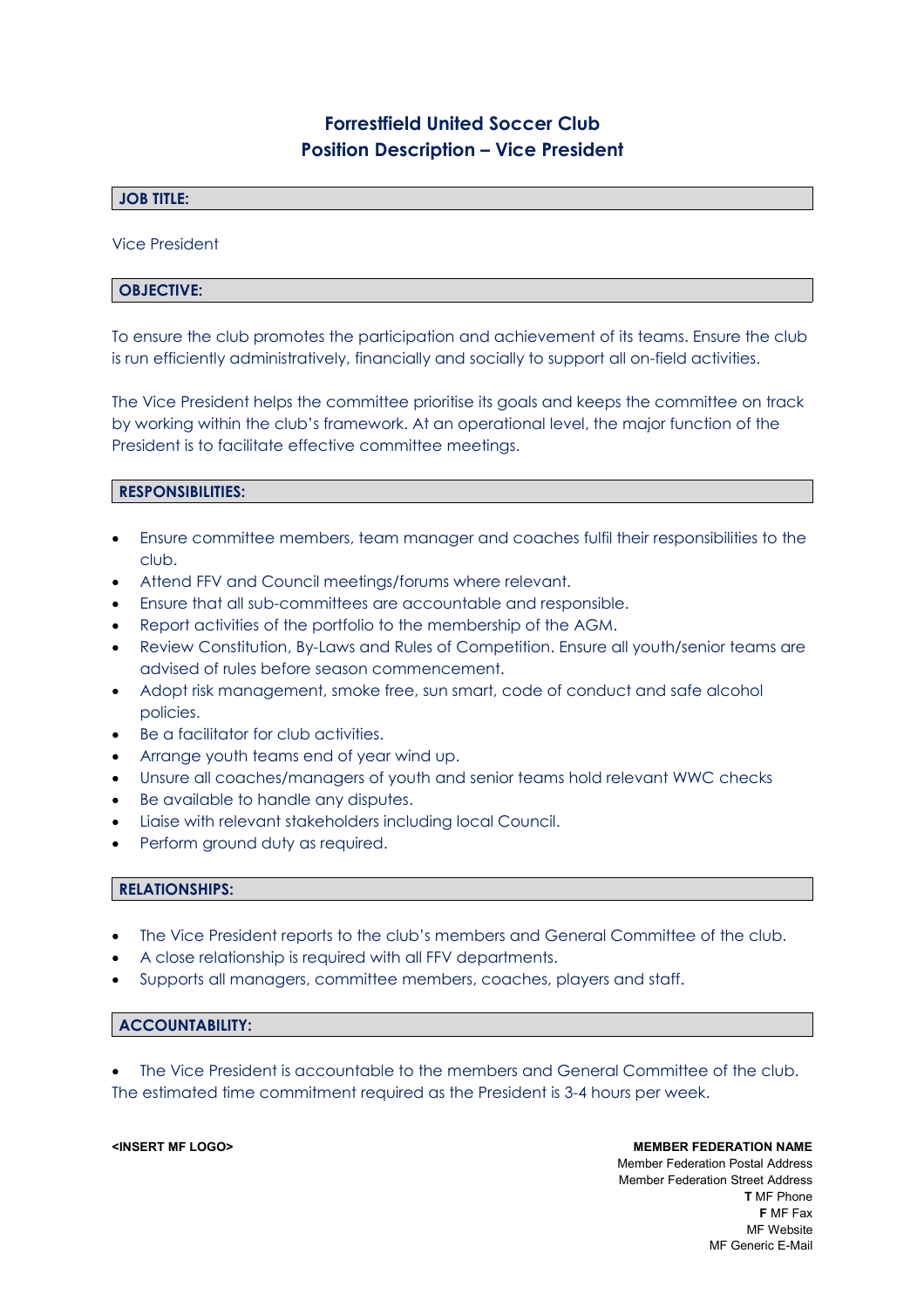# **Forrestfield United Soccer Club Position Description – Vice President**

## **JOB TITLE:**

Vice President

## **OBJECTIVE:**

To ensure the club promotes the participation and achievement of its teams. Ensure the club is run efficiently administratively, financially and socially to support all on-field activities.

The Vice President helps the committee prioritise its goals and keeps the committee on track by working within the club's framework. At an operational level, the major function of the President is to facilitate effective committee meetings.

## **RESPONSIBILITIES:**

- Ensure committee members, team manager and coaches fulfil their responsibilities to the club.
- Attend FFV and Council meetings/forums where relevant.
- Ensure that all sub-committees are accountable and responsible.
- Report activities of the portfolio to the membership of the AGM.
- Review Constitution, By-Laws and Rules of Competition. Ensure all youth/senior teams are advised of rules before season commencement.
- Adopt risk management, smoke free, sun smart, code of conduct and safe alcohol policies.
- Be a facilitator for club activities.
- Arrange youth teams end of year wind up.
- Unsure all coaches/managers of youth and senior teams hold relevant WWC checks
- Be available to handle any disputes.
- Liaise with relevant stakeholders including local Council.
- Perform ground duty as required.

### **RELATIONSHIPS:**

- The Vice President reports to the club's members and General Committee of the club.
- A close relationship is required with all FFV departments.
- Supports all managers, committee members, coaches, players and staff.

### **ACCOUNTABILITY:**

 The Vice President is accountable to the members and General Committee of the club. The estimated time commitment required as the President is 3-4 hours per week.

**<INSERT MF LOGO> MEMBER FEDERATION NAME** Member Federation Postal Address Member Federation Street Address **T** MF Phone **F** MF Fax MF Website MF Generic E-Mail